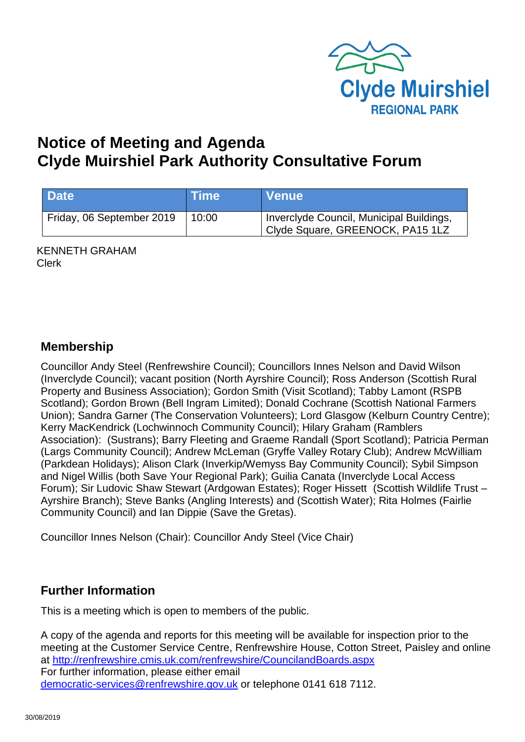

# **Notice of Meeting and Agenda Clyde Muirshiel Park Authority Consultative Forum**

| <b>Date</b>               | <b>Time</b> | <b>Venue</b>                                                                 |
|---------------------------|-------------|------------------------------------------------------------------------------|
| Friday, 06 September 2019 | 10:00       | Inverclyde Council, Municipal Buildings,<br>Clyde Square, GREENOCK, PA15 1LZ |

KENNETH GRAHAM Clerk

#### **Membership**

Councillor Andy Steel (Renfrewshire Council); Councillors Innes Nelson and David Wilson (Inverclyde Council); vacant position (North Ayrshire Council); Ross Anderson (Scottish Rural Property and Business Association); Gordon Smith (Visit Scotland); Tabby Lamont (RSPB Scotland); Gordon Brown (Bell Ingram Limited); Donald Cochrane (Scottish National Farmers Union); Sandra Garner (The Conservation Volunteers); Lord Glasgow (Kelburn Country Centre); Kerry MacKendrick (Lochwinnoch Community Council); Hilary Graham (Ramblers Association): (Sustrans); Barry Fleeting and Graeme Randall (Sport Scotland); Patricia Perman (Largs Community Council); Andrew McLeman (Gryffe Valley Rotary Club); Andrew McWilliam (Parkdean Holidays); Alison Clark (Inverkip/Wemyss Bay Community Council); Sybil Simpson and Nigel Willis (both Save Your Regional Park); Guilia Canata (Inverclyde Local Access Forum); Sir Ludovic Shaw Stewart (Ardgowan Estates); Roger Hissett (Scottish Wildlife Trust – Ayrshire Branch); Steve Banks (Angling Interests) and (Scottish Water); Rita Holmes (Fairlie Community Council) and Ian Dippie (Save the Gretas).

Councillor Innes Nelson (Chair): Councillor Andy Steel (Vice Chair)

### **Further Information**

This is a meeting which is open to members of the public.

A copy of the agenda and reports for this meeting will be available for inspection prior to the meeting at the Customer Service Centre, Renfrewshire House, Cotton Street, Paisley and online at <http://renfrewshire.cmis.uk.com/renfrewshire/CouncilandBoards.aspx> For further information, please either email [democratic-services@renfrewshire.gov.uk](mailto:democratic-services@renfrewshire.gov.uk) or telephone 0141 618 7112.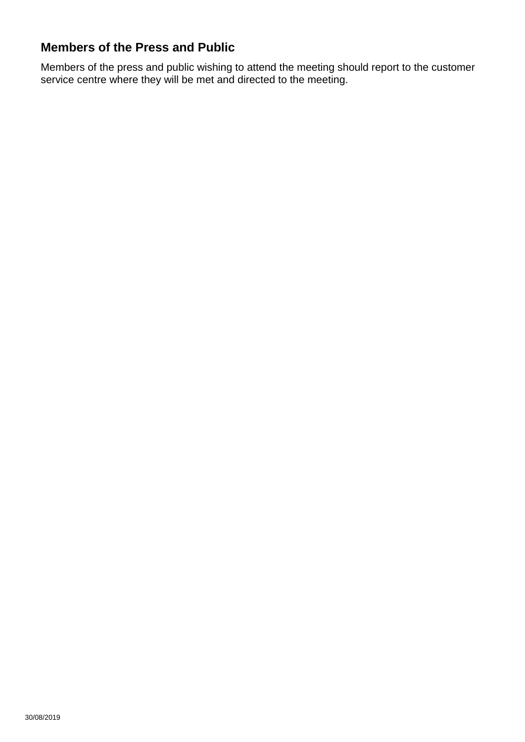## **Members of the Press and Public**

Members of the press and public wishing to attend the meeting should report to the customer service centre where they will be met and directed to the meeting.